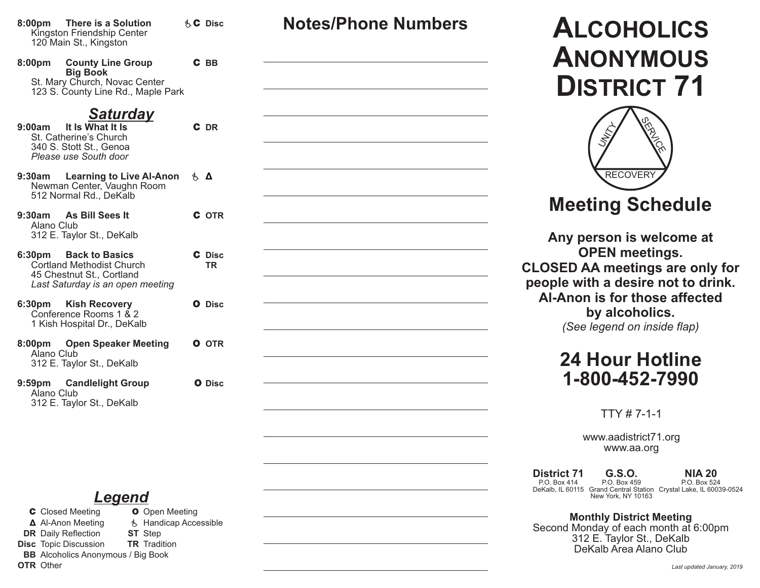**8:00pm There is a Solution** éC **Disc** Kingston Friendship Center 120 Main St., Kingston

8:00pm County Line Group **Big Book** St. Mary Church, Novac Center 123 S. County Line Rd., Maple Park

### *Saturday*

- **9:00am** It Is What It Is St. Catherine's Church 340 S. Stott St., Genoa *Please use South door*
- **9:30am** Learning to Live Al-Anon **έ** Newman Center, Vaughn Room 512 Normal Rd., DeKalb
- **9:30am** As Bill Sees It Alano Club 312 E. Taylor St., DeKalb
- **6:30pm Back to Basics Cortland Methodist Church** 45 Chestnut St., Cortland *Last Saturday is an open meeting*
- **6:30pm** Kish Recovery Conference Rooms 1 & 2 1 Kish Hospital Dr., DeKalb
- **8:00pm** Open Speaker Meeting Alano Club 312 E. Taylor St., DeKalb
- **9:59pm Candlelight Group** Alano Club 312 E. Taylor St., DeKalb

### *Legend*

**C** Closed Meeting **O** Open Meeting **Δ** Al-Anon Meeting é Handicap Accessible **DR** Daily Reflection **ST** Step **Disc** Topic Discussion **TR** Tradition **BB** Alcoholics Anonymous / Big Book **OTR** Other

| C BB                |  |
|---------------------|--|
| C DR                |  |
| i, Δ                |  |
| <b>C</b> OTR        |  |
| C Disc<br><b>TR</b> |  |
| O Disc              |  |
| <b>O</b> OTR        |  |
| O Disc              |  |
|                     |  |

# **Notes/Phone Numbers ALCOHOLICS ANONYMOUS DISTRICT 71**



# **Meeting Schedule**

**Any person is welcome at OPEN meetings. CLOSED AA meetings are only for people with a desire not to drink. Al-Anon is for those affected by alcoholics.** *(See legend on inside flap)*

## **24 Hour Hotline 1-800-452-7990**

TTY # 7-1-1

www.aadistrict71.org www.aa.org

**District 71** P.O. Box 414 DeKalb, IL 60115 Grand Central Station Crystal Lake, IL 60039-0524 **NIA 20** P.O. Box 524 **G.S.O.** P.O. Box 459 New York, NY 10163

**Monthly District Meeting** Second Monday of each month at 6:00pm 312 E. Taylor St., DeKalb DeKalb Area Alano Club